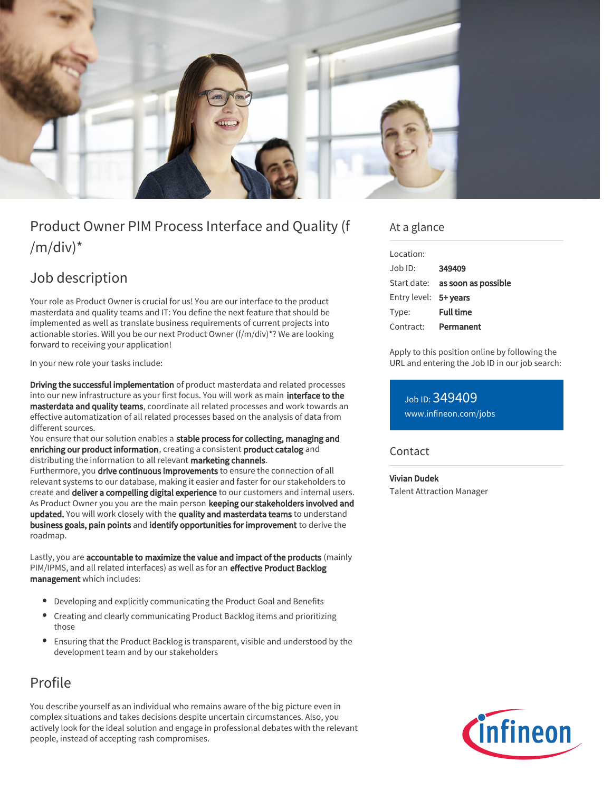

# Product Owner PIM Process Interface and Quality (f  $/m/div)^*$

## Job description

Your role as Product Owner is crucial for us! You are our interface to the product masterdata and quality teams and IT: You define the next feature that should be implemented as well as translate business requirements of current projects into actionable stories. Will you be our next Product Owner (f/m/div)\*? We are looking forward to receiving your application!

In your new role your tasks include:

Driving the successful implementation of product masterdata and related processes into our new infrastructure as your first focus. You will work as main interface to the masterdata and quality teams, coordinate all related processes and work towards an effective automatization of all related processes based on the analysis of data from different sources.

You ensure that our solution enables a stable process for collecting, managing and enriching our product information, creating a consistent product catalog and distributing the information to all relevant marketing channels. Furthermore, you drive continuous improvements to ensure the connection of all relevant systems to our database, making it easier and faster for our stakeholders to create and deliver a compelling digital experience to our customers and internal users. As Product Owner you you are the main person keeping our stakeholders involved and updated. You will work closely with the quality and masterdata teams to understand business goals, pain points and identify opportunities for improvement to derive the roadmap.

Lastly, you are accountable to maximize the value and impact of the products (mainly PIM/IPMS, and all related interfaces) as well as for an effective Product Backlog management which includes:

- Developing and explicitly communicating the Product Goal and Benefits
- Creating and clearly communicating Product Backlog items and prioritizing those
- Ensuring that the Product Backlog is transparent, visible and understood by the development team and by our stakeholders

### Profile

You describe yourself as an individual who remains aware of the big picture even in complex situations and takes decisions despite uncertain circumstances. Also, you actively look for the ideal solution and engage in professional debates with the relevant people, instead of accepting rash compromises.

#### At a glance

| Location:             |                                 |
|-----------------------|---------------------------------|
| $Joh$ ID:             | 349409                          |
|                       | Start date: as soon as possible |
| Entry level: 5+ years |                                 |
| Type:                 | <b>Full time</b>                |
| Contract:             | Permanent                       |

Apply to this position online by following the URL and entering the Job ID in our job search:

Job ID: 349409 [www.infineon.com/jobs](https://www.infineon.com/jobs)

#### **Contact**

Vivian Dudek

Talent Attraction Manager